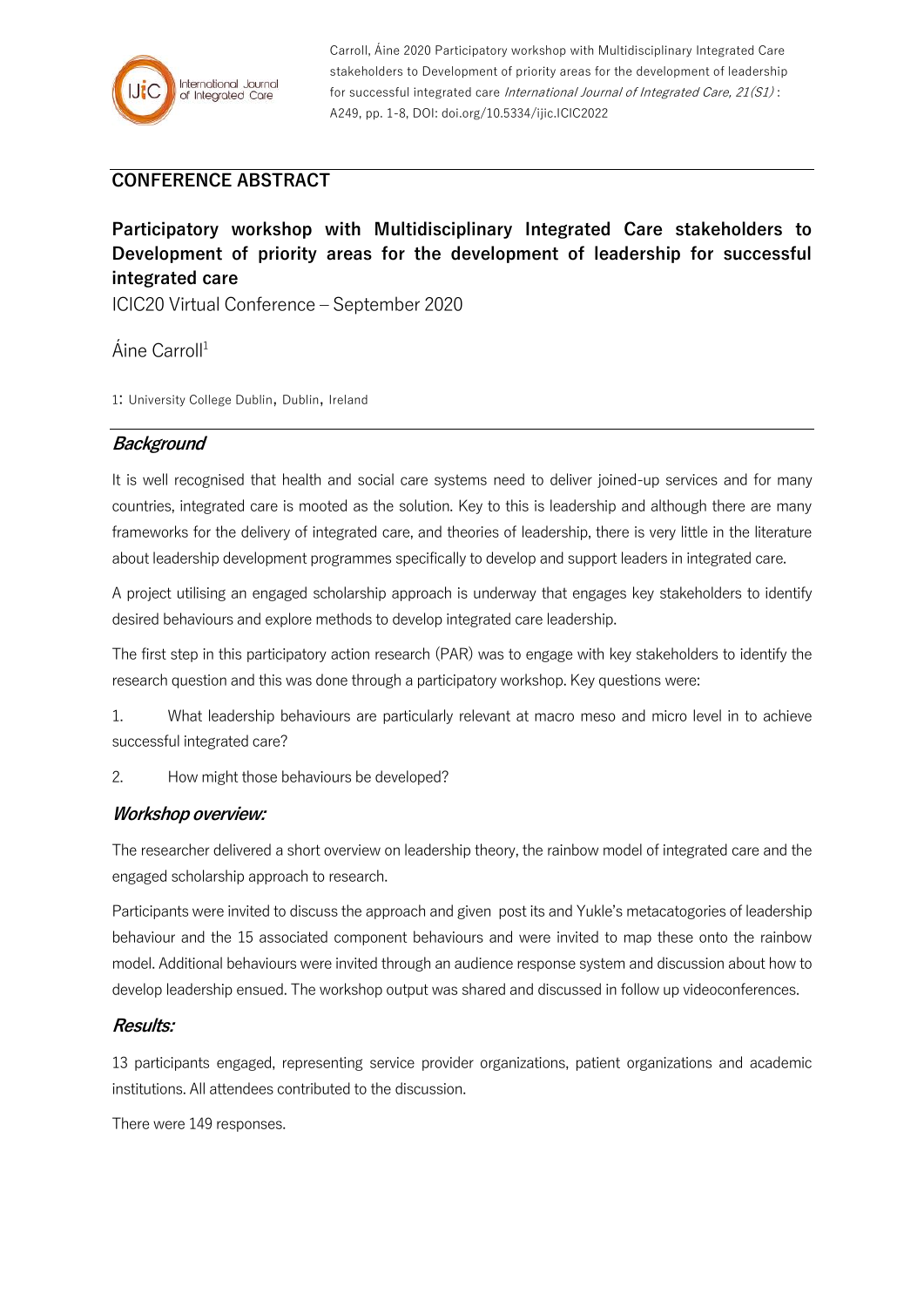

Carroll, Áine 2020 Participatory workshop with Multidisciplinary Integrated Care stakeholders to Development of priority areas for the development of leadership for successful integrated care International Journal of Integrated Care, 21(S1): A249, pp. 1-8, DOI: doi.org/10.5334/ijic.ICIC2022

# **CONFERENCE ABSTRACT**

**Participatory workshop with Multidisciplinary Integrated Care stakeholders to Development of priority areas for the development of leadership for successful integrated care**

ICIC20 Virtual Conference – September 2020

Áine Carroll<sup>1</sup>

1: University College Dublin, Dublin, Ireland

# **Background**

It is well recognised that health and social care systems need to deliver joined-up services and for many countries, integrated care is mooted as the solution. Key to this is leadership and although there are many frameworks for the delivery of integrated care, and theories of leadership, there is very little in the literature about leadership development programmes specifically to develop and support leaders in integrated care.

A project utilising an engaged scholarship approach is underway that engages key stakeholders to identify desired behaviours and explore methods to develop integrated care leadership.

The first step in this participatory action research (PAR) was to engage with key stakeholders to identify the research question and this was done through a participatory workshop. Key questions were:

1. What leadership behaviours are particularly relevant at macro meso and micro level in to achieve successful integrated care?

2. How might those behaviours be developed?

## **Workshop overview:**

The researcher delivered a short overview on leadership theory, the rainbow model of integrated care and the engaged scholarship approach to research.

Participants were invited to discuss the approach and given post its and Yukle's metacatogories of leadership behaviour and the 15 associated component behaviours and were invited to map these onto the rainbow model. Additional behaviours were invited through an audience response system and discussion about how to develop leadership ensued. The workshop output was shared and discussed in follow up videoconferences.

#### **Results:**

13 participants engaged, representing service provider organizations, patient organizations and academic institutions. All attendees contributed to the discussion.

There were 149 responses.